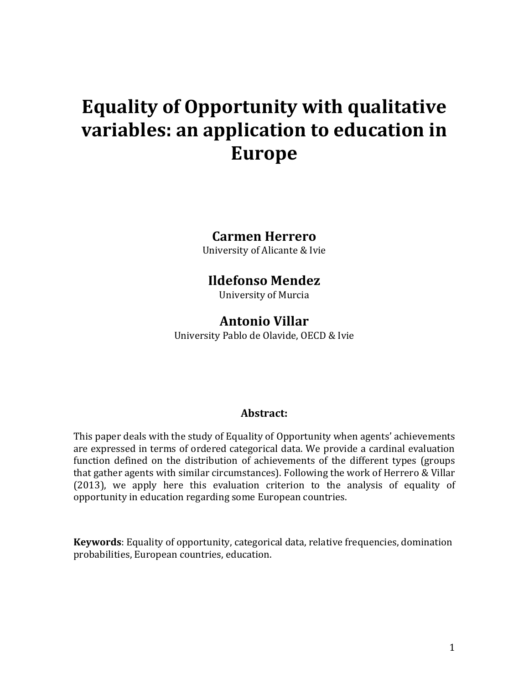# **Equality of Opportunity with qualitative variables: an application to education in Europe**

#### **Carmen Herrero**

University of Alicante & Ivie

#### **Ildefonso Mendez**

University of Murcia

#### **Antonio Villar**

University Pablo de Olavide, OECD & Ivie

#### **Abstract:**

This paper deals with the study of Equality of Opportunity when agents' achievements are expressed in terms of ordered categorical data. We provide a cardinal evaluation function defined on the distribution of achievements of the different types (groups that gather agents with similar circumstances). Following the work of Herrero & Villar (2013), we apply here this evaluation criterion to the analysis of equality of opportunity in education regarding some European countries.

**Keywords**: Equality of opportunity, categorical data, relative frequencies, domination probabilities, European countries, education.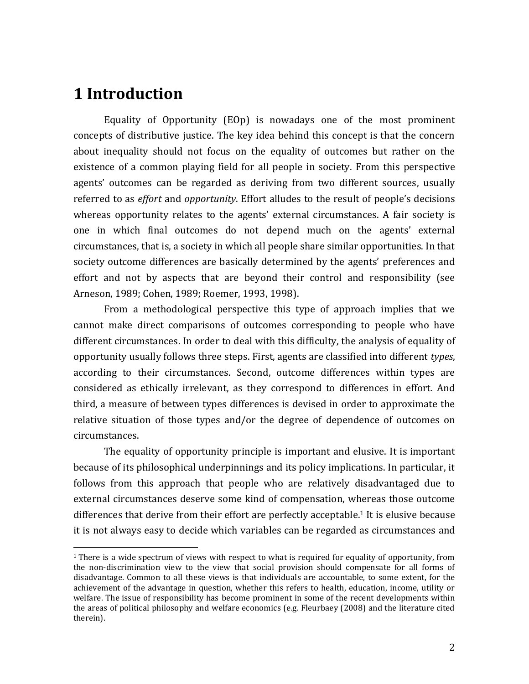### **1 Introduction**

 $\overline{a}$ 

Equality of Opportunity (EOp) is nowadays one of the most prominent concepts of distributive justice. The key idea behind this concept is that the concern about inequality should not focus on the equality of outcomes but rather on the existence of a common playing field for all people in society. From this perspective agents' outcomes can be regarded as deriving from two different sources, usually referred to as *effort* and *opportunity*. Effort alludes to the result of people's decisions whereas opportunity relates to the agents' external circumstances. A fair society is one in which final outcomes do not depend much on the agents' external circumstances, that is, a society in which all people share similar opportunities. In that society outcome differences are basically determined by the agents' preferences and effort and not by aspects that are beyond their control and responsibility (see Arneson, 1989; Cohen, 1989; Roemer, 1993, 1998).

From a methodological perspective this type of approach implies that we cannot make direct comparisons of outcomes corresponding to people who have different circumstances. In order to deal with this difficulty, the analysis of equality of opportunity usually follows three steps. First, agents are classified into different *types*, according to their circumstances. Second, outcome differences within types are considered as ethically irrelevant, as they correspond to differences in effort. And third, a measure of between types differences is devised in order to approximate the relative situation of those types and/or the degree of dependence of outcomes on circumstances.

The equality of opportunity principle is important and elusive. It is important because of its philosophical underpinnings and its policy implications. In particular, it follows from this approach that people who are relatively disadvantaged due to external circumstances deserve some kind of compensation, whereas those outcome differences that derive from their effort are perfectly acceptable.<sup>1</sup> It is elusive because it is not always easy to decide which variables can be regarded as circumstances and

 $1$  There is a wide spectrum of views with respect to what is required for equality of opportunity, from the non-discrimination view to the view that social provision should compensate for all forms of disadvantage. Common to all these views is that individuals are accountable, to some extent, for the achievement of the advantage in question, whether this refers to health, education, income, utility or welfare. The issue of responsibility has become prominent in some of the recent developments within the areas of political philosophy and welfare economics (e.g. Fleurbaey (2008) and the literature cited therein).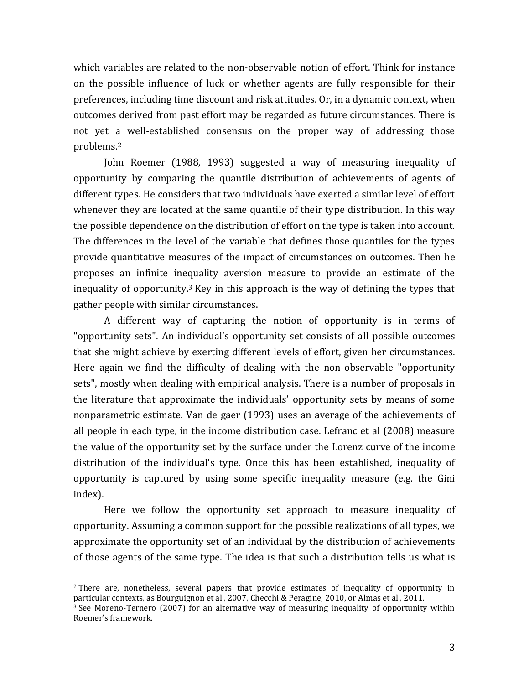which variables are related to the non-observable notion of effort. Think for instance on the possible influence of luck or whether agents are fully responsible for their preferences, including time discount and risk attitudes. Or, in a dynamic context, when outcomes derived from past effort may be regarded as future circumstances. There is not yet a well-established consensus on the proper way of addressing those problems.<sup>2</sup>

John Roemer (1988, 1993) suggested a way of measuring inequality of opportunity by comparing the quantile distribution of achievements of agents of different types. He considers that two individuals have exerted a similar level of effort whenever they are located at the same quantile of their type distribution. In this way the possible dependence on the distribution of effort on the type is taken into account. The differences in the level of the variable that defines those quantiles for the types provide quantitative measures of the impact of circumstances on outcomes. Then he proposes an infinite inequality aversion measure to provide an estimate of the inequality of opportunity.<sup>3</sup> Key in this approach is the way of defining the types that gather people with similar circumstances.

A different way of capturing the notion of opportunity is in terms of "opportunity sets". An individual's opportunity set consists of all possible outcomes that she might achieve by exerting different levels of effort, given her circumstances. Here again we find the difficulty of dealing with the non-observable "opportunity sets", mostly when dealing with empirical analysis. There is a number of proposals in the literature that approximate the individuals' opportunity sets by means of some nonparametric estimate. Van de gaer (1993) uses an average of the achievements of all people in each type, in the income distribution case. Lefranc et al (2008) measure the value of the opportunity set by the surface under the Lorenz curve of the income distribution of the individual's type. Once this has been established, inequality of opportunity is captured by using some specific inequality measure (e.g. the Gini index).

Here we follow the opportunity set approach to measure inequality of opportunity. Assuming a common support for the possible realizations of all types, we approximate the opportunity set of an individual by the distribution of achievements of those agents of the same type. The idea is that such a distribution tells us what is

<sup>&</sup>lt;sup>2</sup> There are, nonetheless, several papers that provide estimates of inequality of opportunity in particular contexts, as Bourguignon et al., 2007, Checchi & Peragine, 2010, or Almas et al., 2011.

 $3$  See Moreno-Ternero (2007) for an alternative way of measuring inequality of opportunity within Roemer's framework.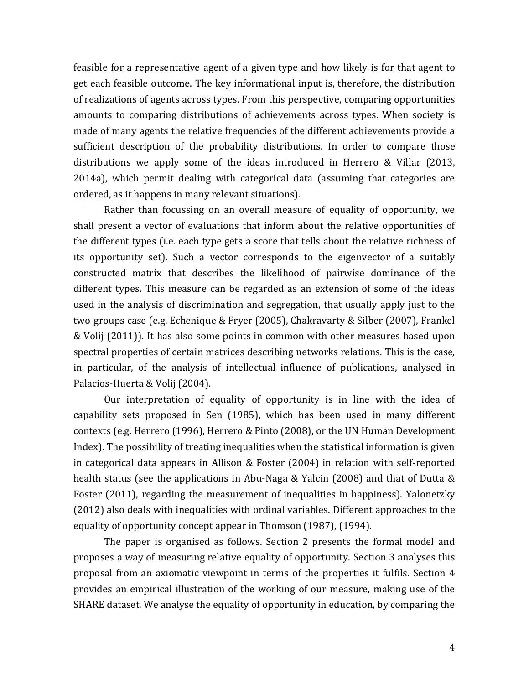feasible for a representative agent of a given type and how likely is for that agent to get each feasible outcome. The key informational input is, therefore, the distribution of realizations of agents across types. From this perspective, comparing opportunities amounts to comparing distributions of achievements across types. When society is made of many agents the relative frequencies of the different achievements provide a sufficient description of the probability distributions. In order to compare those distributions we apply some of the ideas introduced in Herrero & Villar (2013, 2014a), which permit dealing with categorical data (assuming that categories are ordered, as it happens in many relevant situations).

Rather than focussing on an overall measure of equality of opportunity, we shall present a vector of evaluations that inform about the relative opportunities of the different types (i.e. each type gets a score that tells about the relative richness of its opportunity set). Such a vector corresponds to the eigenvector of a suitably constructed matrix that describes the likelihood of pairwise dominance of the different types. This measure can be regarded as an extension of some of the ideas used in the analysis of discrimination and segregation, that usually apply just to the two-groups case (e.g. Echenique & Fryer (2005), Chakravarty & Silber (2007), Frankel & Volij (2011)). It has also some points in common with other measures based upon spectral properties of certain matrices describing networks relations. This is the case, in particular, of the analysis of intellectual influence of publications, analysed in Palacios-Huerta & Volij (2004).

Our interpretation of equality of opportunity is in line with the idea of capability sets proposed in Sen (1985), which has been used in many different contexts (e.g. Herrero (1996), Herrero & Pinto (2008), or the UN Human Development Index). The possibility of treating inequalities when the statistical information is given in categorical data appears in Allison & Foster (2004) in relation with self-reported health status (see the applications in Abu-Naga & Yalcin (2008) and that of Dutta & Foster (2011), regarding the measurement of inequalities in happiness). Yalonetzky (2012) also deals with inequalities with ordinal variables. Different approaches to the equality of opportunity concept appear in Thomson (1987), (1994).

The paper is organised as follows. Section 2 presents the formal model and proposes a way of measuring relative equality of opportunity. Section 3 analyses this proposal from an axiomatic viewpoint in terms of the properties it fulfils. Section 4 provides an empirical illustration of the working of our measure, making use of the SHARE dataset. We analyse the equality of opportunity in education, by comparing the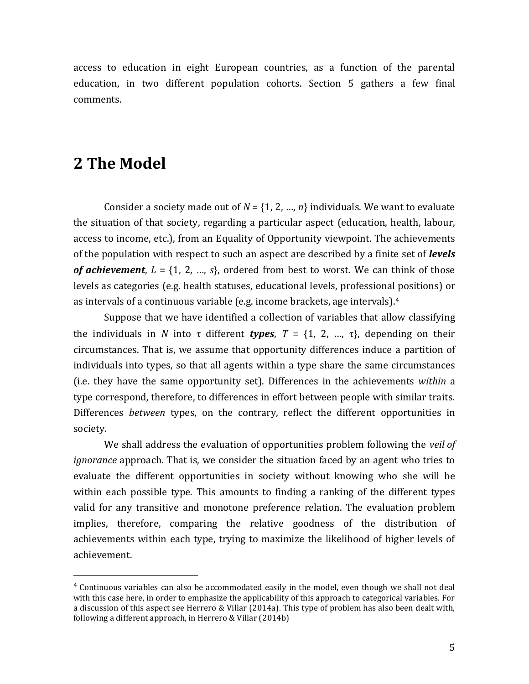access to education in eight European countries, as a function of the parental education, in two different population cohorts. Section 5 gathers a few final comments.

### **2 The Model**

 $\overline{a}$ 

Consider a society made out of  $N = \{1, 2, ..., n\}$  individuals. We want to evaluate the situation of that society, regarding a particular aspect (education, health, labour, access to income, etc.), from an Equality of Opportunity viewpoint. The achievements of the population with respect to such an aspect are described by a finite set of *levels of achievement*,  $L = \{1, 2, ..., s\}$ , ordered from best to worst. We can think of those levels as categories (e.g. health statuses, educational levels, professional positions) or as intervals of a continuous variable (e.g. income brackets, age intervals). 4

Suppose that we have identified a collection of variables that allow classifying the individuals in *N* into  $\tau$  different *types*,  $T = \{1, 2, ..., \tau\}$ , depending on their circumstances. That is, we assume that opportunity differences induce a partition of individuals into types, so that all agents within a type share the same circumstances (i.e. they have the same opportunity set). Differences in the achievements *within* a type correspond, therefore, to differences in effort between people with similar traits. Differences *between* types, on the contrary, reflect the different opportunities in society.

We shall address the evaluation of opportunities problem following the *veil of ignorance* approach. That is, we consider the situation faced by an agent who tries to evaluate the different opportunities in society without knowing who she will be within each possible type. This amounts to finding a ranking of the different types valid for any transitive and monotone preference relation. The evaluation problem implies, therefore, comparing the relative goodness of the distribution of achievements within each type, trying to maximize the likelihood of higher levels of achievement.

<sup>4</sup> Continuous variables can also be accommodated easily in the model, even though we shall not deal with this case here, in order to emphasize the applicability of this approach to categorical variables. For a discussion of this aspect see Herrero & Villar (2014a). This type of problem has also been dealt with, following a different approach, in Herrero & Villar (2014b)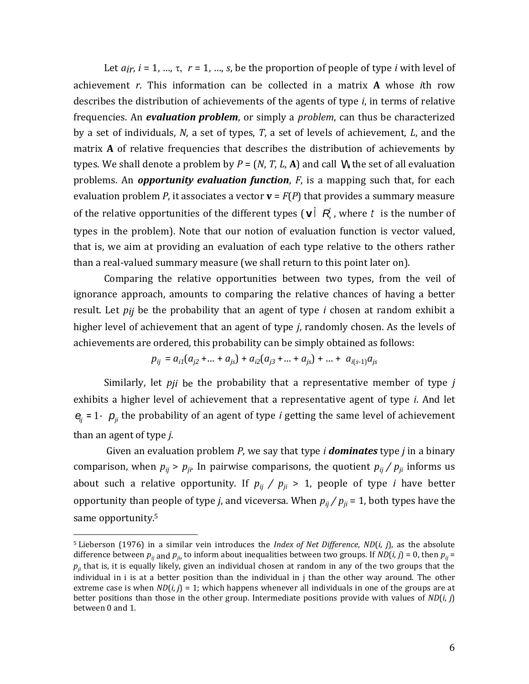Let  $a_{ir}$ ,  $i = 1, ..., \tau$ ,  $r = 1, ..., s$ , be the proportion of people of type *i* with level of achievement *r*. This information can be collected in a matrix **A** whose *i*th row describes the distribution of achievements of the agents of type *i*, in terms of relative frequencies. An *evaluation problem*, or simply a *problem*, can thus be characterized by a set of individuals, *N*, a set of types, *T*, a set of levels of achievement, *L*, and the matrix **A** of relative frequencies that describes the distribution of achievements by types. We shall denote a problem by  $P = (N, T, L, A)$  and call W the set of all evaluation problems. An *opportunity evaluation function*, *F*, is a mapping such that, for each evaluation problem *P*, it associates a vector **v** = *F*(*P*) that provides a summary measure of the relative opportunities of the different types ( $\mathbf{v}$ )  $\vec{R}$ , where t is the number of types in the problem). Note that our notion of evaluation function is vector valued, that is, we aim at providing an evaluation of each type relative to the others rather than a real-valued summary measure (we shall return to this point later on).

Comparing the relative opportunities between two types, from the veil of ignorance approach, amounts to comparing the relative chances of having a better result. Let *pij* be the probability that an agent of type *i* chosen at random exhibit a higher level of achievement that an agent of type *j*, randomly chosen. As the levels of achievements are ordered, this probability can be simply obtained as follows:

$$
p_{ij} = a_{i1}(a_{j2} + ... + a_{js}) + a_{i2}(a_{j3} + ... + a_{js}) + ... + a_{i(s-1)}a_{js}
$$

Similarly, let *pji* be the probability that a representative member of type *j* exhibits a higher level of achievement that a representative agent of type *i*. And let  $e_j = 1 - p_j$  the probability of an agent of type *i* getting the same level of achievement than an agent of type *j*.

Given an evaluation problem *P*, we say that type *i dominates* type *j* in a binary comparison, when  $p_{ij} > p_{ji}$ . In pairwise comparisons, the quotient  $p_{ij} / p_{ji}$  informs us about such a relative opportunity. If  $p_{ij}$  /  $p_{ji}$  > 1, people of type *i* have better opportunity than people of type *j*, and viceversa. When  $p_{ij} / p_{ji} = 1$ , both types have the same opportunity.<sup>5</sup>

<sup>5</sup> Lieberson (1976) in a similar vein introduces the *Index of Net Difference*, *ND*(*i*, *j*), as the absolute difference between  $p_{ji}$  and  $p_{ji}$ , to inform about inequalities between two groups. If  $ND(i, j) = 0$ , then  $p_{ji} =$  $p_{ij}$  that is, it is equally likely, given an individual chosen at random in any of the two groups that the individual in i is at a better position than the individual in j than the other way around. The other extreme case is when  $ND(i, j) = 1$ ; which happens whenever all individuals in one of the groups are at better positions than those in the other group. Intermediate positions provide with values of *ND*(*i*, *j*) between 0 and 1.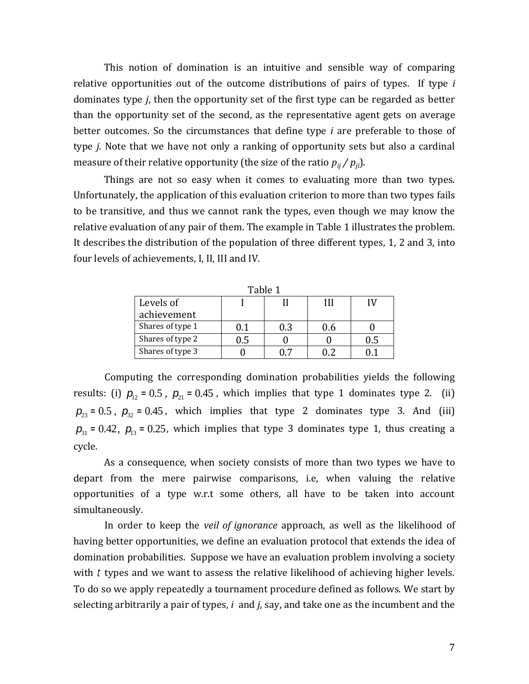This notion of domination is an intuitive and sensible way of comparing relative opportunities out of the outcome distributions of pairs of types. If type *i* dominates type *j*, then the opportunity set of the first type can be regarded as better than the opportunity set of the second, as the representative agent gets on average better outcomes. So the circumstances that define type *i* are preferable to those of type *j*. Note that we have not only a ranking of opportunity sets but also a cardinal measure of their relative opportunity (the size of the ratio  $p_{ii}/p_{ii}$ ).

Things are not so easy when it comes to evaluating more than two types. Unfortunately, the application of this evaluation criterion to more than two types fails to be transitive, and thus we cannot rank the types, even though we may know the relative evaluation of any pair of them. The example in Table 1 illustrates the problem. It describes the distribution of the population of three different types, 1, 2 and 3, into four levels of achievements, I, II, III and IV.

| rabie 1          |     |     |      |     |  |  |  |  |  |
|------------------|-----|-----|------|-----|--|--|--|--|--|
| Levels of        |     |     | ИI   |     |  |  |  |  |  |
| achievement      |     |     |      |     |  |  |  |  |  |
| Shares of type 1 | 0.1 | 0.3 | l).6 |     |  |  |  |  |  |
| Shares of type 2 |     |     |      | Ս.Ե |  |  |  |  |  |
| Shares of type 3 |     |     |      |     |  |  |  |  |  |

Table 1

Computing the corresponding domination probabilities yields the following results: (i)  $p_{12} = 0.5$ ,  $p_{21} = 0.45$ , which implies that type 1 dominates type 2. (ii)  $p_{23} = 0.5$ ,  $p_{32} = 0.45$ , which implies that type 2 dominates type 3. And (iii)  $p_{31} = 0.42$ ,  $p_{13} = 0.25$ , which implies that type 3 dominates type 1, thus creating a cycle.

As a consequence, when society consists of more than two types we have to depart from the mere pairwise comparisons, i.e, when valuing the relative opportunities of a type w.r.t some others, all have to be taken into account simultaneously.

In order to keep the *veil of ignorance* approach, as well as the likelihood of having better opportunities, we define an evaluation protocol that extends the idea of domination probabilities. Suppose we have an evaluation problem involving a society with *t* types and we want to assess the relative likelihood of achieving higher levels. To do so we apply repeatedly a tournament procedure defined as follows. We start by selecting arbitrarily a pair of types, *i* and *j*, say, and take one as the incumbent and the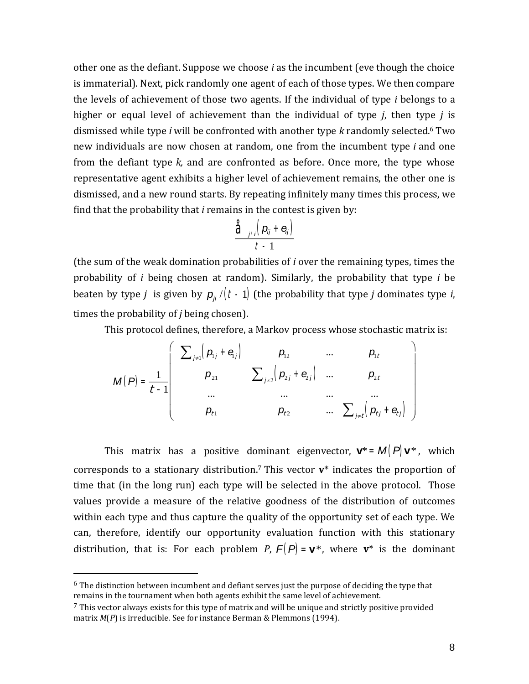other one as the defiant. Suppose we choose *i* as the incumbent (eve though the choice is immaterial). Next, pick randomly one agent of each of those types. We then compare the levels of achievement of those two agents. If the individual of type *i* belongs to a higher or equal level of achievement than the individual of type *j*, then type *j* is dismissed while type *i* will be confronted with another type *k* randomly selected.<sup>6</sup> Two new individuals are now chosen at random, one from the incumbent type *i* and one from the defiant type *k,* and are confronted as before. Once more, the type whose representative agent exhibits a higher level of achievement remains, the other one is dismissed, and a new round starts. By repeating infinitely many times this process, we find that the probability that *i* remains in the contest is given by:

$$
\frac{\hat{\mathbf{d}}_{j'i}\left(\mathbf{p}_{ij}+\mathbf{e}_{ij}\right)}{t-1}
$$

(the sum of the weak domination probabilities of *i* over the remaining types, times the probability of *i* being chosen at random). Similarly, the probability that type *i* be beaten by type *j* is given by  $p_{ji}/(t-1)$  (the probability that type *j* dominates type *i*, times the probability of *j* being chosen).

This protocol defines, therefore, a Markov process whose stochastic matrix is:

$$
M(P) = \frac{1}{t-1} \begin{bmatrix} \sum_{j\neq 1} (p_{1j} + \mathbf{e}_{j}) & p_{12} & \dots & p_{1t} \\ p_{21} & \sum_{j\neq 2} (p_{2j} + \mathbf{e}_{j}) & \dots & p_{2t} \\ \dots & \dots & \dots & \dots \\ p_{t1} & p_{t2} & \dots & \sum_{j\neq t} (p_{tj} + \mathbf{e}_{tj}) \end{bmatrix}
$$

This matrix has a positive dominant eigenvector,  $\mathbf{v}^* = M(P) \mathbf{v}^*$ , which corresponds to a stationary distribution. <sup>7</sup> This vector **v**\* indicates the proportion of time that (in the long run) each type will be selected in the above protocol. Those values provide a measure of the relative goodness of the distribution of outcomes within each type and thus capture the quality of the opportunity set of each type. We can, therefore, identify our opportunity evaluation function with this stationary distribution, that is: For each problem *P*,  $F(P) = \mathbf{v}^*$ , where  $\mathbf{v}^*$  is the dominant

 $6$  The distinction between incumbent and defiant serves just the purpose of deciding the type that remains in the tournament when both agents exhibit the same level of achievement.

 $<sup>7</sup>$  This vector always exists for this type of matrix and will be unique and strictly positive provided</sup> matrix *M*(*P*) is irreducible. See for instance Berman & Plemmons (1994).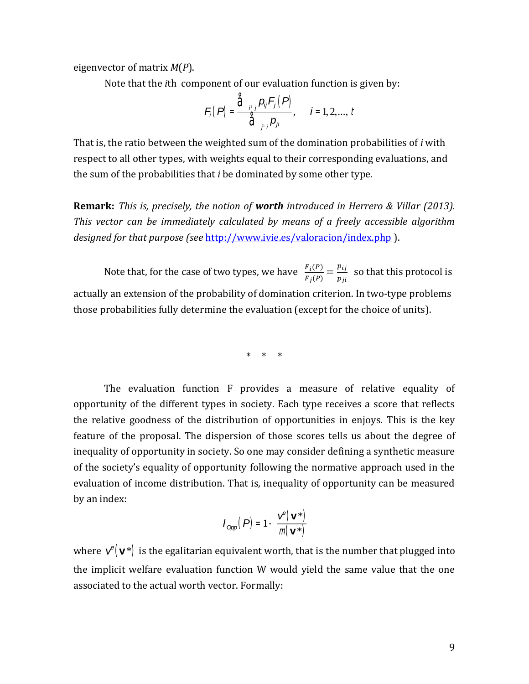eigenvector of matrix *M*(*P*).

Note that the *i*th component of our evaluation function is given by:

$$
F_{i}(P) = \frac{\hat{\sigma}_{i,j} p_{ij} F_{j}(P)}{\hat{\sigma}_{i,j} p_{ji}}, \quad i = 1, 2, ..., t
$$

That is, the ratio between the weighted sum of the domination probabilities of *i* with respect to all other types, with weights equal to their corresponding evaluations, and the sum of the probabilities that *i* be dominated by some other type.

**Remark:** *This is, precisely, the notion of worth introduced in Herrero & Villar (2013). This vector can be immediately calculated by means of a freely accessible algorithm designed for that purpose (see* <http://www.ivie.es/valoracion/index.php> ).

Note that, for the case of two types, we have  $\frac{F_i(P)}{F_i(P)}$  $\frac{F_i(P)}{F_j(P)} = \frac{p_{ij}}{p_{ji}}$  $\frac{\mu_{ij}}{p_{ji}}$  so that this protocol is actually an extension of the probability of domination criterion. In two-type problems those probabilities fully determine the evaluation (except for the choice of units).

\* \* \*

The evaluation function F provides a measure of relative equality of opportunity of the different types in society. Each type receives a score that reflects the relative goodness of the distribution of opportunities in enjoys. This is the key feature of the proposal. The dispersion of those scores tells us about the degree of inequality of opportunity in society. So one may consider defining a synthetic measure of the society's equality of opportunity following the normative approach used in the evaluation of income distribution. That is, inequality of opportunity can be measured by an index:

$$
I_{\text{Opp}}(P) = 1 - \frac{V^{\text{P}}(\mathbf{V}^*)}{m(\mathbf{V}^*)}
$$

where  $v^e(\mathbf{v}^*)$  is the egalitarian equivalent worth, that is the number that plugged into the implicit welfare evaluation function W would yield the same value that the one associated to the actual worth vector. Formally: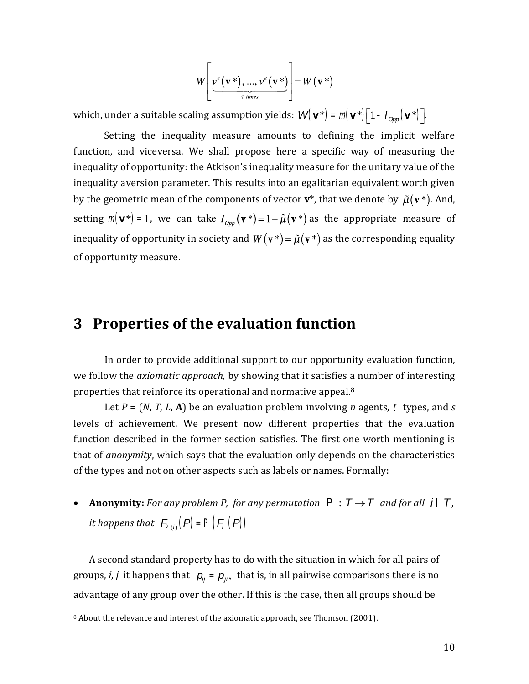$$
W\left[\underbrace{v^e(\mathbf{v}^*)},...,\underbrace{v^e(\mathbf{v}^*)}\right]=W(\mathbf{v}^*)
$$

which, under a suitable scaling assumption yields:  $W(\mathbf{v}^*) = m(\mathbf{v}^*) \begin{bmatrix} 1 - I_{\text{Opp}}(\mathbf{v}^*) \end{bmatrix}$ .

Setting the inequality measure amounts to defining the implicit welfare function, and viceversa. We shall propose here a specific way of measuring the inequality of opportunity: the Atkison's inequality measure for the unitary value of the inequality aversion parameter. This results into an egalitarian equivalent worth given by the geometric mean of the components of vector  $\mathbf{v}^*$ , that we denote by  $\tilde{\mu}(\mathbf{v}^*)$ . And, setting  $m(\mathbf{v}^*) = 1$ , we can take  $I_{\alpha_{mn}}(\mathbf{v}^*) = 1 - \tilde{\mu}(\mathbf{v}^*)$  as the appropriate measure of inequality of opportunity in society and  $W(\mathbf{v}^*) = \tilde{\mu}(\mathbf{v}^*)$  as the corresponding equality of opportunity measure.

#### **3 Properties of the evaluation function**

In order to provide additional support to our opportunity evaluation function, we follow the *axiomatic approach,* by showing that it satisfies a number of interesting properties that reinforce its operational and normative appeal.<sup>8</sup>

Let *P* = (*N*, *T*, *L*, **A**) be an evaluation problem involving *n* agents, t types, and *s* levels of achievement. We present now different properties that the evaluation function described in the former section satisfies. The first one worth mentioning is that of *anonymity*, which says that the evaluation only depends on the characteristics of the types and not on other aspects such as labels or names. Formally:

• **Anonymity:** For any problem P, for any permutation  $P : T \rightarrow T$  and for all i  $\hat{I}$ , *it happens that*  $\mathcal{F}_{\mathsf{P}(i)}(P) = \mathsf{P}(\mathcal{F}_i(P))$ 

A second standard property has to do with the situation in which for all pairs of groups, *i*, *j* it happens that  $p_{ij} = p_{ji}$ , that is, in all pairwise comparisons there is no advantage of any group over the other. If this is the case, then all groups should be  $\overline{a}$ 

<sup>&</sup>lt;sup>8</sup> About the relevance and interest of the axiomatic approach, see Thomson (2001).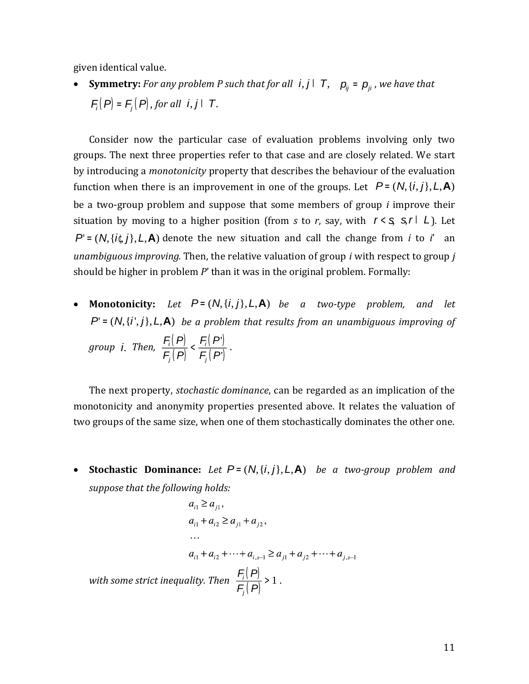given identical value.

• **Symmetry:** For any problem P such that for all  $i, j$   $\bar{I}$   $\bar{T}$ ,  $p_{ij} = p_{ji}$ , we have that  $F_i(P) = F_j(P)$ , for all **i**, **j**  $\Gamma$  *T***.** 

Consider now the particular case of evaluation problems involving only two groups. The next three properties refer to that case and are closely related. We start by introducing a *monotonicity* property that describes the behaviour of the evaluation function when there is an improvement in one of the groups. Let  $P = (N, \{i, j\}, L, A)$ be a two-group problem and suppose that some members of group *i* improve their situation by moving to a higher position (from *s* to *r*, say, with  $r < \frac{\sigma}{s}$   $\frac{\sigma}{\sigma}$  *L*). Let  $P' = (N, \{i\}, L, A)$  denote the new situation and call the change from *i* to *i*' an *unambiguous improving.* Then, the relative valuation of group *i* with respect to group *j* should be higher in problem *P*' than it was in the original problem. Formally:

• Monotonicity: Let  $P = (N, \{i, j\}, L, A)$  be a two-type problem, and let  $P' = (N, \{i', j\}, L, A)$  *be a problem that results from an unambiguous improving of* 

*group i. Then,*  $\frac{F_i(P)}{F_i(P)}$ *F<sup>j</sup>* (*P*)  $\lt \frac{F_i(P)}{F(P)}$  $F_j(P)$ .

The next property, *stochastic dominance*, can be regarded as an implication of the monotonicity and anonymity properties presented above. It relates the valuation of two groups of the same size, when one of them stochastically dominates the other one.

• Stochastic Dominance: Let  $P = (N, \{i, j\}, L, A)$  be a two-group problem and *suppose that the following holds:*

$$
a_{i1} \ge a_{j1},
$$
  
\n
$$
a_{i1} + a_{i2} \ge a_{j1} + a_{j2},
$$
  
\n...  
\n
$$
a_{i1} + a_{i2} + \dots + a_{i,s-1} \ge a_{j1} + a_{j2} + \dots + a_{j,s-1}
$$
  
\nwith some strict inequality. Then 
$$
\frac{F_i(P)}{F_j(P)} > 1.
$$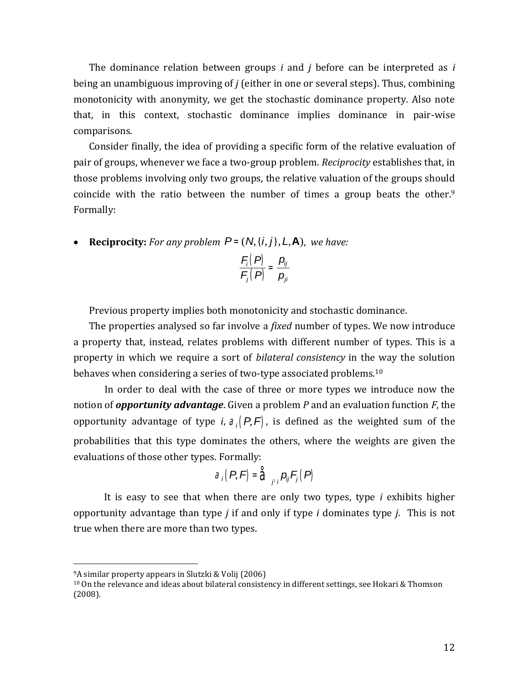The dominance relation between groups *i* and *j* before can be interpreted as *i* being an unambiguous improving of *j* (either in one or several steps). Thus, combining monotonicity with anonymity, we get the stochastic dominance property. Also note that, in this context, stochastic dominance implies dominance in pair-wise comparisons.

Consider finally, the idea of providing a specific form of the relative evaluation of pair of groups, whenever we face a two-group problem. *Reciprocity* establishes that, in those problems involving only two groups, the relative valuation of the groups should coincide with the ratio between the number of times a group beats the other.<sup>9</sup> Formally:

• **Reciprocity:** For any problem  $P = (N, \{i, j\}, L, A)$ , we have:

$$
\frac{F_i(P)}{F_j(P)}=\frac{p_{ij}}{p_{ji}}
$$

Previous property implies both monotonicity and stochastic dominance.

The properties analysed so far involve a *fixed* number of types. We now introduce a property that, instead, relates problems with different number of types. This is a property in which we require a sort of *bilateral consistency* in the way the solution behaves when considering a series of two-type associated problems.<sup>10</sup>

In order to deal with the case of three or more types we introduce now the notion of *opportunity advantage*. Given a problem *P* and an evaluation function *F*, the opportunity advantage of type *i*,  $a_i(P,F)$ , is defined as the weighted sum of the probabilities that this type dominates the others, where the weights are given the evaluations of those other types. Formally:

$$
a_i(P,F)=\mathring{a}_{j'i}p_{ij}F_j(P)
$$

It is easy to see that when there are only two types, type *i* exhibits higher opportunity advantage than type *j* if and only if type *i* dominates type *j*. This is not true when there are more than two types.

l

<sup>9</sup>A similar property appears in Slutzki & Volij (2006)

<sup>10</sup> On the relevance and ideas about bilateral consistency in different settings, see Hokari & Thomson (2008).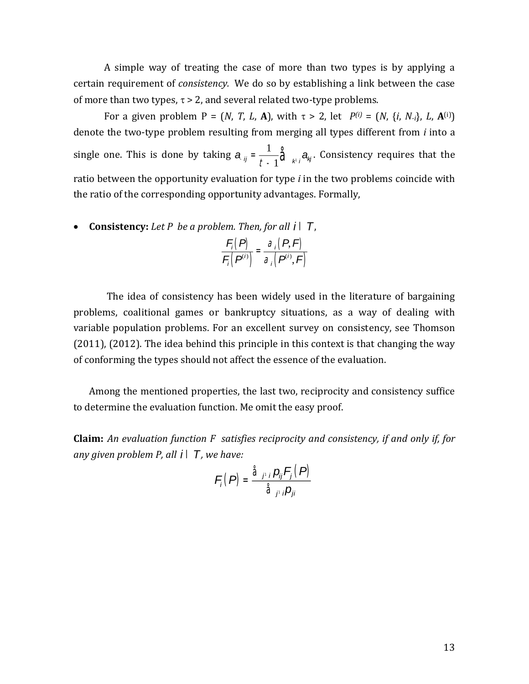A simple way of treating the case of more than two types is by applying a certain requirement of *consistency.* We do so by establishing a link between the case of more than two types,  $\tau > 2$ , and several related two-type problems.

For a given problem P = (*N*, *T*, *L*, **A**), with  $\tau > 2$ , let  $P^{(i)} = (N, \{i, N_i\}, L, A^{(i)})$ denote the two-type problem resulting from merging all types different from *i* into a single one. This is done by taking  $a_{ij} = \frac{1}{t}$  $\frac{1}{t-1}\hat{a}_{k}$ ,  $a_{kj}$ . Consistency requires that the ratio between the opportunity evaluation for type *i* in the two problems coincide with the ratio of the corresponding opportunity advantages. Formally,

**Consistency:** *Let P be a problem. Then, for all i* Î*T*,

*F<sup>i</sup>* (*P*)  $F_i(P^{(i)})$  $=\frac{a_i(P,F)}{1-e^{-\alpha}}$  $a_i(P^i, F)$ 

The idea of consistency has been widely used in the literature of bargaining problems, coalitional games or bankruptcy situations, as a way of dealing with variable population problems. For an excellent survey on consistency, see Thomson (2011), (2012). The idea behind this principle in this context is that changing the way of conforming the types should not affect the essence of the evaluation.

Among the mentioned properties, the last two, reciprocity and consistency suffice to determine the evaluation function. Me omit the easy proof.

**Claim:** *An evaluation function F satisfies reciprocity and consistency, if and only if, for any given problem P, all i* Î*T , we have:* 

$$
F_i(P) = \frac{\hat{a}_{j'i} p_{ij} F_j(P)}{\hat{a}_{j'i} p_{ji}}
$$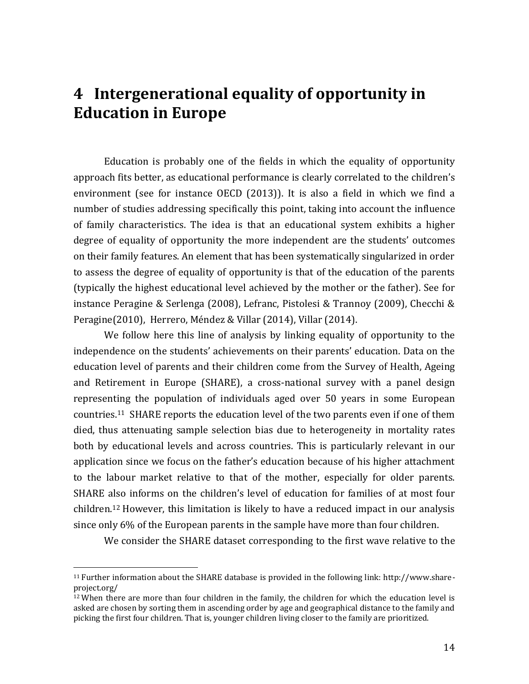# **4 Intergenerational equality of opportunity in Education in Europe**

Education is probably one of the fields in which the equality of opportunity approach fits better, as educational performance is clearly correlated to the children's environment (see for instance OECD (2013)). It is also a field in which we find a number of studies addressing specifically this point, taking into account the influence of family characteristics. The idea is that an educational system exhibits a higher degree of equality of opportunity the more independent are the students' outcomes on their family features. An element that has been systematically singularized in order to assess the degree of equality of opportunity is that of the education of the parents (typically the highest educational level achieved by the mother or the father). See for instance Peragine & Serlenga (2008), Lefranc, Pistolesi & Trannoy (2009), Checchi & Peragine(2010), Herrero, Méndez & Villar (2014), Villar (2014).

We follow here this line of analysis by linking equality of opportunity to the independence on the students' achievements on their parents' education. Data on the education level of parents and their children come from the Survey of Health, Ageing and Retirement in Europe (SHARE), a cross-national survey with a panel design representing the population of individuals aged over 50 years in some European countries.11 SHARE reports the education level of the two parents even if one of them died, thus attenuating sample selection bias due to heterogeneity in mortality rates both by educational levels and across countries. This is particularly relevant in our application since we focus on the father's education because of his higher attachment to the labour market relative to that of the mother, especially for older parents. SHARE also informs on the children's level of education for families of at most four children.<sup>12</sup> However, this limitation is likely to have a reduced impact in our analysis since only 6% of the European parents in the sample have more than four children.

We consider the SHARE dataset corresponding to the first wave relative to the

<sup>11</sup> Further information about the SHARE database is provided in the following link: http://www.shareproject.org/

 $12$  When there are more than four children in the family, the children for which the education level is asked are chosen by sorting them in ascending order by age and geographical distance to the family and picking the first four children. That is, younger children living closer to the family are prioritized.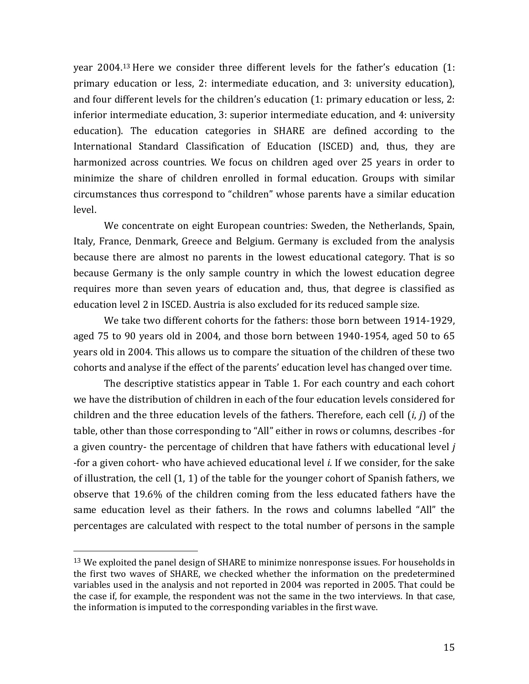year 2004.<sup>13</sup> Here we consider three different levels for the father's education (1: primary education or less, 2: intermediate education, and 3: university education), and four different levels for the children's education (1: primary education or less, 2: inferior intermediate education, 3: superior intermediate education, and 4: university education). The education categories in SHARE are defined according to the International Standard Classification of Education (ISCED) and, thus, they are harmonized across countries. We focus on children aged over 25 years in order to minimize the share of children enrolled in formal education. Groups with similar circumstances thus correspond to "children" whose parents have a similar education level.

We concentrate on eight European countries: Sweden, the Netherlands, Spain, Italy, France, Denmark, Greece and Belgium. Germany is excluded from the analysis because there are almost no parents in the lowest educational category. That is so because Germany is the only sample country in which the lowest education degree requires more than seven years of education and, thus, that degree is classified as education level 2 in ISCED. Austria is also excluded for its reduced sample size.

We take two different cohorts for the fathers: those born between 1914-1929, aged 75 to 90 years old in 2004, and those born between 1940-1954, aged 50 to 65 years old in 2004. This allows us to compare the situation of the children of these two cohorts and analyse if the effect of the parents' education level has changed over time.

The descriptive statistics appear in Table 1. For each country and each cohort we have the distribution of children in each of the four education levels considered for children and the three education levels of the fathers. Therefore, each cell (*i*, *j*) of the table, other than those corresponding to "All" either in rows or columns, describes -for a given country- the percentage of children that have fathers with educational level *j* -for a given cohort- who have achieved educational level *i*. If we consider, for the sake of illustration, the cell (1, 1) of the table for the younger cohort of Spanish fathers, we observe that 19.6% of the children coming from the less educated fathers have the same education level as their fathers. In the rows and columns labelled "All" the percentages are calculated with respect to the total number of persons in the sample

<sup>&</sup>lt;sup>13</sup> We exploited the panel design of SHARE to minimize nonresponse issues. For households in the first two waves of SHARE, we checked whether the information on the predetermined variables used in the analysis and not reported in 2004 was reported in 2005. That could be the case if, for example, the respondent was not the same in the two interviews. In that case, the information is imputed to the corresponding variables in the first wave.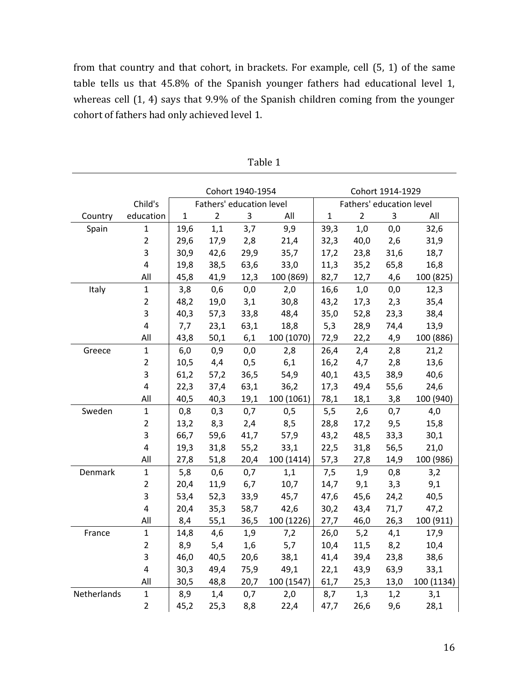from that country and that cohort, in brackets. For example, cell (5, 1) of the same table tells us that 45.8% of the Spanish younger fathers had educational level 1, whereas cell (1, 4) says that 9.9% of the Spanish children coming from the younger cohort of fathers had only achieved level 1.

|             |                         |                          |                | Cohort 1940-1954 |                          | Cohort 1914-1929 |                |      |            |  |
|-------------|-------------------------|--------------------------|----------------|------------------|--------------------------|------------------|----------------|------|------------|--|
|             | Child's                 | Fathers' education level |                |                  | Fathers' education level |                  |                |      |            |  |
| Country     | education               | $\mathbf{1}$             | $\overline{2}$ | 3                | All                      | $\mathbf{1}$     | $\overline{2}$ | 3    | All        |  |
| Spain       | $\mathbf{1}$            | 19,6                     | 1,1            | 3,7              | 9,9                      | 39,3             | 1,0            | 0,0  | 32,6       |  |
|             | $\overline{2}$          | 29,6                     | 17,9           | 2,8              | 21,4                     | 32,3             | 40,0           | 2,6  | 31,9       |  |
|             | 3                       | 30,9                     | 42,6           | 29,9             | 35,7                     | 17,2             | 23,8           | 31,6 | 18,7       |  |
|             | $\overline{\mathbf{4}}$ | 19,8                     | 38,5           | 63,6             | 33,0                     | 11,3             | 35,2           | 65,8 | 16,8       |  |
|             | All                     | 45,8                     | 41,9           | 12,3             | 100 (869)                | 82,7             | 12,7           | 4,6  | 100 (825)  |  |
| Italy       | $\mathbf{1}$            | 3,8                      | 0,6            | 0,0              | 2,0                      | 16,6             | 1,0            | 0,0  | 12,3       |  |
|             | $\overline{2}$          | 48,2                     | 19,0           | 3,1              | 30,8                     | 43,2             | 17,3           | 2,3  | 35,4       |  |
|             | 3                       | 40,3                     | 57,3           | 33,8             | 48,4                     | 35,0             | 52,8           | 23,3 | 38,4       |  |
|             | 4                       | 7,7                      | 23,1           | 63,1             | 18,8                     | 5,3              | 28,9           | 74,4 | 13,9       |  |
|             | All                     | 43,8                     | 50,1           | 6,1              | 100 (1070)               | 72,9             | 22,2           | 4,9  | 100 (886)  |  |
| Greece      | $\mathbf{1}$            | 6,0                      | 0,9            | 0,0              | 2,8                      | 26,4             | 2,4            | 2,8  | 21,2       |  |
|             | $\overline{2}$          | 10,5                     | 4,4            | 0,5              | 6,1                      | 16,2             | 4,7            | 2,8  | 13,6       |  |
|             | 3                       | 61,2                     | 57,2           | 36,5             | 54,9                     | 40,1             | 43,5           | 38,9 | 40,6       |  |
|             | $\overline{\mathbf{4}}$ | 22,3                     | 37,4           | 63,1             | 36,2                     | 17,3             | 49,4           | 55,6 | 24,6       |  |
|             | All                     | 40,5                     | 40,3           | 19,1             | 100 (1061)               | 78,1             | 18,1           | 3,8  | 100 (940)  |  |
| Sweden      | $\mathbf{1}$            | 0,8                      | 0,3            | 0,7              | 0,5                      | 5,5              | 2,6            | 0,7  | 4,0        |  |
|             | $\overline{2}$          | 13,2                     | 8,3            | 2,4              | 8,5                      | 28,8             | 17,2           | 9,5  | 15,8       |  |
|             | 3                       | 66,7                     | 59,6           | 41,7             | 57,9                     | 43,2             | 48,5           | 33,3 | 30,1       |  |
|             | 4                       | 19,3                     | 31,8           | 55,2             | 33,1                     | 22,5             | 31,8           | 56,5 | 21,0       |  |
|             | All                     | 27,8                     | 51,8           | 20,4             | 100 (1414)               | 57,3             | 27,8           | 14,9 | 100 (986)  |  |
| Denmark     | $\mathbf{1}$            | 5,8                      | 0,6            | 0,7              | 1,1                      | 7,5              | 1,9            | 0,8  | 3,2        |  |
|             | $\overline{2}$          | 20,4                     | 11,9           | 6,7              | 10,7                     | 14,7             | 9,1            | 3,3  | 9,1        |  |
|             | 3                       | 53,4                     | 52,3           | 33,9             | 45,7                     | 47,6             | 45,6           | 24,2 | 40,5       |  |
|             | $\overline{\mathbf{4}}$ | 20,4                     | 35,3           | 58,7             | 42,6                     | 30,2             | 43,4           | 71,7 | 47,2       |  |
|             | All                     | 8,4                      | 55,1           | 36,5             | 100 (1226)               | 27,7             | 46,0           | 26,3 | 100 (911)  |  |
| France      | 1                       | 14,8                     | 4,6            | 1,9              | 7,2                      | 26,0             | 5,2            | 4,1  | 17,9       |  |
|             | $\overline{2}$          | 8,9                      | 5,4            | 1,6              | 5,7                      | 10,4             | 11,5           | 8,2  | 10,4       |  |
|             | 3                       | 46,0                     | 40,5           | 20,6             | 38,1                     | 41,4             | 39,4           | 23,8 | 38,6       |  |
|             | $\overline{4}$          | 30,3                     | 49,4           | 75,9             | 49,1                     | 22,1             | 43,9           | 63,9 | 33,1       |  |
|             | All                     | 30,5                     | 48,8           | 20,7             | 100 (1547)               | 61,7             | 25,3           | 13,0 | 100 (1134) |  |
| Netherlands | $\mathbf{1}$            | 8,9                      | 1,4            | 0,7              | 2,0                      | 8,7              | 1,3            | 1,2  | 3,1        |  |
|             | $\overline{2}$          | 45,2                     | 25,3           | 8,8              | 22,4                     | 47,7             | 26,6           | 9,6  | 28,1       |  |

| I)<br>n |  |
|---------|--|
|---------|--|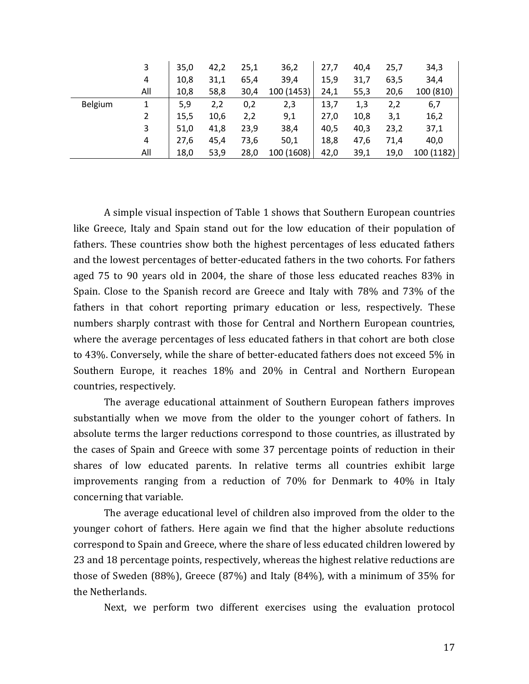|         | 3              | 35,0 | 42,2 | 25,1 | 36,2       | 27,7 | 40,4 | 25,7 | 34,3       |
|---------|----------------|------|------|------|------------|------|------|------|------------|
|         | 4              | 10,8 | 31,1 | 65,4 | 39,4       | 15,9 | 31,7 | 63,5 | 34,4       |
|         | All            | 10,8 | 58,8 | 30,4 | 100 (1453) | 24,1 | 55,3 | 20,6 | 100 (810)  |
| Belgium | 1              | 5,9  | 2,2  | 0,2  | 2,3        | 13,7 | 1,3  | 2,2  | 6,7        |
|         | $\overline{2}$ | 15,5 | 10,6 | 2,2  | 9,1        | 27,0 | 10,8 | 3,1  | 16,2       |
|         | 3              | 51,0 | 41,8 | 23,9 | 38,4       | 40,5 | 40,3 | 23,2 | 37,1       |
|         | 4              | 27,6 | 45,4 | 73,6 | 50,1       | 18,8 | 47,6 | 71,4 | 40,0       |
|         | All            | 18,0 | 53,9 | 28,0 | 100 (1608) | 42,0 | 39,1 | 19,0 | 100 (1182) |

A simple visual inspection of Table 1 shows that Southern European countries like Greece, Italy and Spain stand out for the low education of their population of fathers. These countries show both the highest percentages of less educated fathers and the lowest percentages of better-educated fathers in the two cohorts. For fathers aged 75 to 90 years old in 2004, the share of those less educated reaches 83% in Spain. Close to the Spanish record are Greece and Italy with 78% and 73% of the fathers in that cohort reporting primary education or less, respectively. These numbers sharply contrast with those for Central and Northern European countries, where the average percentages of less educated fathers in that cohort are both close to 43%. Conversely, while the share of better-educated fathers does not exceed 5% in Southern Europe, it reaches 18% and 20% in Central and Northern European countries, respectively.

The average educational attainment of Southern European fathers improves substantially when we move from the older to the younger cohort of fathers. In absolute terms the larger reductions correspond to those countries, as illustrated by the cases of Spain and Greece with some 37 percentage points of reduction in their shares of low educated parents. In relative terms all countries exhibit large improvements ranging from a reduction of 70% for Denmark to 40% in Italy concerning that variable.

The average educational level of children also improved from the older to the younger cohort of fathers. Here again we find that the higher absolute reductions correspond to Spain and Greece, where the share of less educated children lowered by 23 and 18 percentage points, respectively, whereas the highest relative reductions are those of Sweden (88%), Greece (87%) and Italy (84%), with a minimum of 35% for the Netherlands.

Next, we perform two different exercises using the evaluation protocol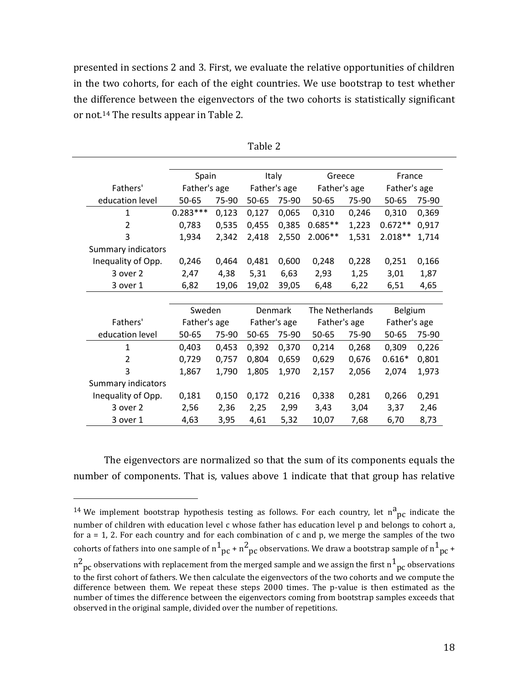presented in sections 2 and 3. First, we evaluate the relative opportunities of children in the two cohorts, for each of the eight countries. We use bootstrap to test whether the difference between the eigenvectors of the two cohorts is statistically significant or not.<sup>14</sup> The results appear in Table 2.

|                           | Spain        |       | Italy        |              | Greece          |       | France         |       |
|---------------------------|--------------|-------|--------------|--------------|-----------------|-------|----------------|-------|
| Fathers'                  | Father's age |       | Father's age |              | Father's age    |       | Father's age   |       |
| education level           | 50-65        | 75-90 | 50-65        | 75-90        | 50-65           | 75-90 | 50-65          | 75-90 |
| 1                         | $0.283***$   | 0,123 | 0,127        | 0,065        | 0,310           | 0,246 | 0,310          | 0,369 |
| 2                         | 0,783        | 0,535 | 0,455        | 0,385        | $0.685**$       | 1,223 | $0.672**$      | 0,917 |
| 3                         | 1,934        | 2,342 | 2,418        | 2,550        | 2.006**         | 1,531 | $2.018**$      | 1,714 |
| <b>Summary indicators</b> |              |       |              |              |                 |       |                |       |
| Inequality of Opp.        | 0,246        | 0,464 | 0,481        | 0,600        | 0,248           | 0,228 | 0,251          | 0,166 |
| 3 over 2                  | 2,47         | 4,38  | 5,31         | 6,63         | 2,93            | 1,25  | 3,01           | 1,87  |
| 3 over 1                  | 6,82         | 19,06 | 19,02        | 39,05        | 6,48            | 6,22  | 6,51           | 4,65  |
|                           |              |       |              |              |                 |       |                |       |
|                           |              |       |              |              |                 |       |                |       |
|                           | Sweden       |       |              | Denmark      | The Netherlands |       | <b>Belgium</b> |       |
| Fathers'                  | Father's age |       |              | Father's age | Father's age    |       | Father's age   |       |
| education level           | 50-65        | 75-90 | 50-65        | 75-90        | 50-65           | 75-90 | 50-65          | 75-90 |
| 1                         | 0,403        | 0,453 | 0,392        | 0,370        | 0,214           | 0,268 | 0,309          | 0,226 |
| 2                         | 0,729        | 0,757 | 0,804        | 0,659        | 0,629           | 0,676 | $0.616*$       | 0,801 |
| 3                         | 1,867        | 1,790 | 1,805        | 1,970        | 2,157           | 2,056 | 2,074          | 1,973 |
| Summary indicators        |              |       |              |              |                 |       |                |       |
| Inequality of Opp.        | 0,181        | 0,150 | 0,172        | 0,216        | 0,338           | 0,281 | 0,266          | 0,291 |
| 3 over 2                  | 2,56         | 2,36  | 2,25         | 2,99         | 3,43            | 3,04  | 3,37           | 2,46  |

Table 2

The eigenvectors are normalized so that the sum of its components equals the number of components. That is, values above 1 indicate that that group has relative

l

<sup>&</sup>lt;sup>14</sup> We implement bootstrap hypothesis testing as follows. For each country, let  $n^a_{\text{pc}}$  indicate the number of children with education level c whose father has education level p and belongs to cohort a, for a = 1, 2. For each country and for each combination of c and p, we merge the samples of the two cohorts of fathers into one sample of  $n^1{}_{pc}$  +  $n^2{}_{pc}$  observations. We draw a bootstrap sample of  $n^1{}_{pc}$  +  $n^2$  pc observations with replacement from the merged sample and we assign the first  $n^1_{\;\rm pc}$  observations to the first cohort of fathers. We then calculate the eigenvectors of the two cohorts and we compute the difference between them. We repeat these steps 2000 times. The p-value is then estimated as the number of times the difference between the eigenvectors coming from bootstrap samples exceeds that observed in the original sample, divided over the number of repetitions.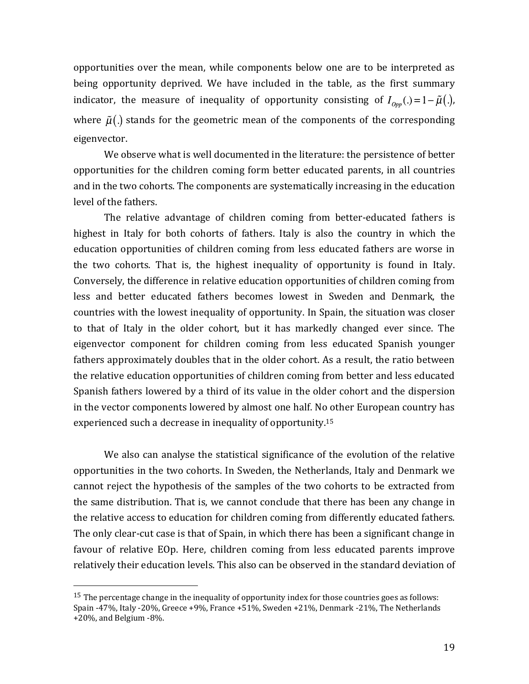opportunities over the mean, while components below one are to be interpreted as being opportunity deprived. We have included in the table, as the first summary indicator, the measure of inequality of opportunity consisting of  $I_{\alpha_m}(\cdot) = 1 - \tilde{\mu}(\cdot)$ , where  $\tilde{\mu}$ (.) stands for the geometric mean of the components of the corresponding eigenvector.

We observe what is well documented in the literature: the persistence of better opportunities for the children coming form better educated parents, in all countries and in the two cohorts. The components are systematically increasing in the education level of the fathers.

The relative advantage of children coming from better-educated fathers is highest in Italy for both cohorts of fathers. Italy is also the country in which the education opportunities of children coming from less educated fathers are worse in the two cohorts. That is, the highest inequality of opportunity is found in Italy. Conversely, the difference in relative education opportunities of children coming from less and better educated fathers becomes lowest in Sweden and Denmark, the countries with the lowest inequality of opportunity. In Spain, the situation was closer to that of Italy in the older cohort, but it has markedly changed ever since. The eigenvector component for children coming from less educated Spanish younger fathers approximately doubles that in the older cohort. As a result, the ratio between the relative education opportunities of children coming from better and less educated Spanish fathers lowered by a third of its value in the older cohort and the dispersion in the vector components lowered by almost one half. No other European country has experienced such a decrease in inequality of opportunity.<sup>15</sup>

We also can analyse the statistical significance of the evolution of the relative opportunities in the two cohorts. In Sweden, the Netherlands, Italy and Denmark we cannot reject the hypothesis of the samples of the two cohorts to be extracted from the same distribution. That is, we cannot conclude that there has been any change in the relative access to education for children coming from differently educated fathers. The only clear-cut case is that of Spain, in which there has been a significant change in favour of relative EOp. Here, children coming from less educated parents improve relatively their education levels. This also can be observed in the standard deviation of

<sup>&</sup>lt;sup>15</sup> The percentage change in the inequality of opportunity index for those countries goes as follows: Spain -47%, Italy -20%, Greece +9%, France +51%, Sweden +21%, Denmark -21%, The Netherlands +20%, and Belgium -8%.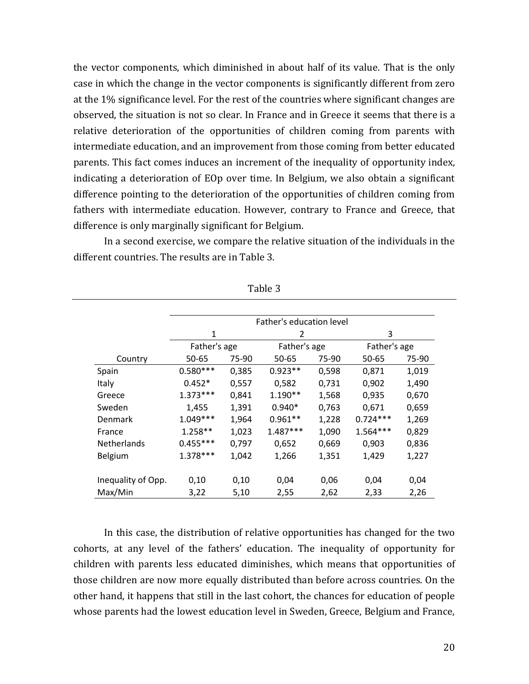the vector components, which diminished in about half of its value. That is the only case in which the change in the vector components is significantly different from zero at the 1% significance level. For the rest of the countries where significant changes are observed, the situation is not so clear. In France and in Greece it seems that there is a relative deterioration of the opportunities of children coming from parents with intermediate education, and an improvement from those coming from better educated parents. This fact comes induces an increment of the inequality of opportunity index, indicating a deterioration of EOp over time. In Belgium, we also obtain a significant difference pointing to the deterioration of the opportunities of children coming from fathers with intermediate education. However, contrary to France and Greece, that difference is only marginally significant for Belgium.

In a second exercise, we compare the relative situation of the individuals in the different countries. The results are in Table 3.

|                    | Father's education level |       |                |       |              |       |  |  |  |
|--------------------|--------------------------|-------|----------------|-------|--------------|-------|--|--|--|
|                    | 1                        |       | $\overline{2}$ |       | 3            |       |  |  |  |
|                    | Father's age             |       | Father's age   |       | Father's age |       |  |  |  |
| Country            | 50-65                    | 75-90 | 50-65          | 75-90 | 50-65        | 75-90 |  |  |  |
| Spain              | $0.580***$               | 0,385 | $0.923**$      | 0,598 | 0,871        | 1,019 |  |  |  |
| Italy              | $0.452*$                 | 0,557 | 0,582          | 0,731 | 0,902        | 1,490 |  |  |  |
| Greece             | $1.373***$               | 0,841 | $1.190**$      | 1,568 | 0,935        | 0,670 |  |  |  |
| Sweden             | 1,455                    | 1,391 | $0.940*$       | 0,763 | 0,671        | 0,659 |  |  |  |
| <b>Denmark</b>     | $1.049***$               | 1,964 | $0.961**$      | 1,228 | $0.724***$   | 1,269 |  |  |  |
| France             | 1.258**                  | 1,023 | $1.487***$     | 1,090 | $1.564***$   | 0,829 |  |  |  |
| <b>Netherlands</b> | $0.455***$               | 0,797 | 0,652          | 0,669 | 0,903        | 0,836 |  |  |  |
| Belgium            | $1.378***$               | 1,042 | 1,266          | 1,351 | 1,429        | 1,227 |  |  |  |
| Inequality of Opp. | 0,10                     | 0,10  | 0,04           | 0,06  | 0,04         | 0,04  |  |  |  |
| Max/Min            | 3,22                     | 5,10  | 2,55           | 2,62  | 2,33         | 2,26  |  |  |  |

Table 3

In this case, the distribution of relative opportunities has changed for the two cohorts, at any level of the fathers' education. The inequality of opportunity for children with parents less educated diminishes, which means that opportunities of those children are now more equally distributed than before across countries. On the other hand, it happens that still in the last cohort, the chances for education of people whose parents had the lowest education level in Sweden, Greece, Belgium and France,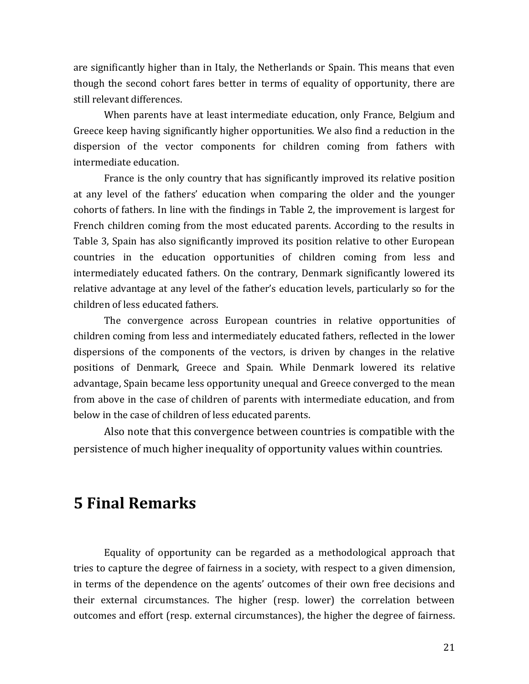are significantly higher than in Italy, the Netherlands or Spain. This means that even though the second cohort fares better in terms of equality of opportunity, there are still relevant differences.

When parents have at least intermediate education, only France, Belgium and Greece keep having significantly higher opportunities. We also find a reduction in the dispersion of the vector components for children coming from fathers with intermediate education.

France is the only country that has significantly improved its relative position at any level of the fathers' education when comparing the older and the younger cohorts of fathers. In line with the findings in Table 2, the improvement is largest for French children coming from the most educated parents. According to the results in Table 3, Spain has also significantly improved its position relative to other European countries in the education opportunities of children coming from less and intermediately educated fathers. On the contrary, Denmark significantly lowered its relative advantage at any level of the father's education levels, particularly so for the children of less educated fathers.

The convergence across European countries in relative opportunities of children coming from less and intermediately educated fathers, reflected in the lower dispersions of the components of the vectors, is driven by changes in the relative positions of Denmark, Greece and Spain. While Denmark lowered its relative advantage, Spain became less opportunity unequal and Greece converged to the mean from above in the case of children of parents with intermediate education, and from below in the case of children of less educated parents.

Also note that this convergence between countries is compatible with the persistence of much higher inequality of opportunity values within countries.

# **5 Final Remarks**

Equality of opportunity can be regarded as a methodological approach that tries to capture the degree of fairness in a society, with respect to a given dimension, in terms of the dependence on the agents' outcomes of their own free decisions and their external circumstances. The higher (resp. lower) the correlation between outcomes and effort (resp. external circumstances), the higher the degree of fairness.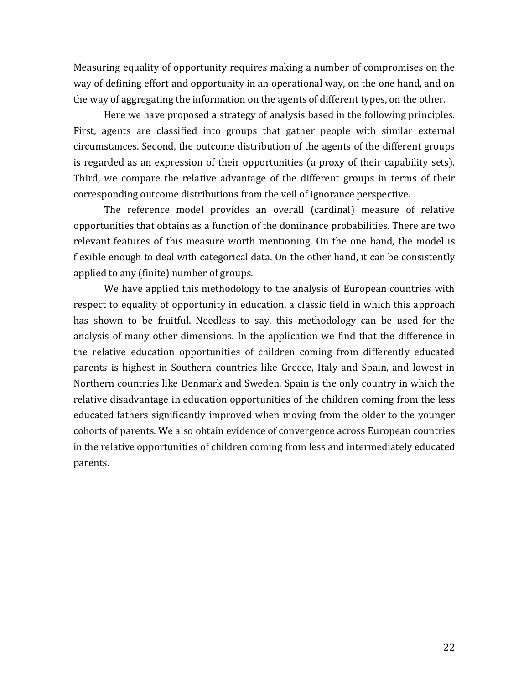Measuring equality of opportunity requires making a number of compromises on the way of defining effort and opportunity in an operational way, on the one hand, and on the way of aggregating the information on the agents of different types, on the other.

Here we have proposed a strategy of analysis based in the following principles. First, agents are classified into groups that gather people with similar external circumstances. Second, the outcome distribution of the agents of the different groups is regarded as an expression of their opportunities (a proxy of their capability sets). Third, we compare the relative advantage of the different groups in terms of their corresponding outcome distributions from the veil of ignorance perspective.

The reference model provides an overall (cardinal) measure of relative opportunities that obtains as a function of the dominance probabilities. There are two relevant features of this measure worth mentioning. On the one hand, the model is flexible enough to deal with categorical data. On the other hand, it can be consistently applied to any (finite) number of groups.

We have applied this methodology to the analysis of European countries with respect to equality of opportunity in education, a classic field in which this approach has shown to be fruitful. Needless to say, this methodology can be used for the analysis of many other dimensions. In the application we find that the difference in the relative education opportunities of children coming from differently educated parents is highest in Southern countries like Greece, Italy and Spain, and lowest in Northern countries like Denmark and Sweden. Spain is the only country in which the relative disadvantage in education opportunities of the children coming from the less educated fathers significantly improved when moving from the older to the younger cohorts of parents. We also obtain evidence of convergence across European countries in the relative opportunities of children coming from less and intermediately educated parents.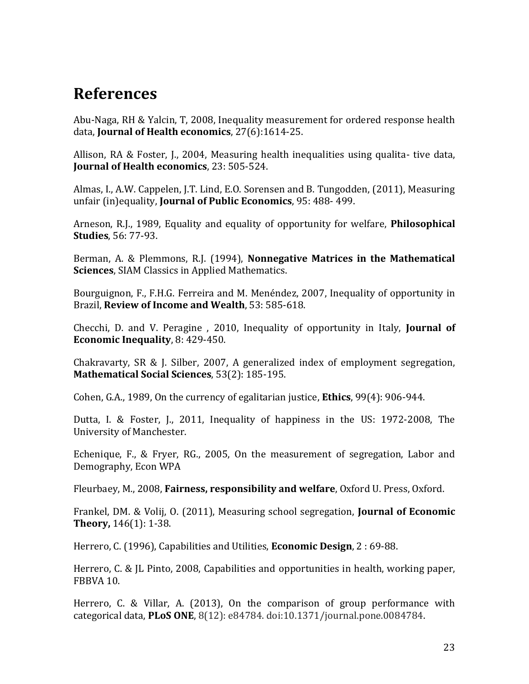# **References**

Abu-Naga, RH & Yalcin, T, 2008, Inequality measurement for ordered response health data, **Journal of Health economics**, 27(6):1614-25.

Allison, RA & Foster, J., 2004, Measuring health inequalities using qualita- tive data, **Journal of Health economics**, 23: 505-524.

Almas, I., A.W. Cappelen, J.T. Lind, E.O. Sorensen and B. Tungodden, (2011), Measuring unfair (in)equality, **Journal of Public Economics**, 95: 488- 499.

Arneson, R.J., 1989, Equality and equality of opportunity for welfare, **Philosophical Studies**, 56: 77-93.

Berman, A. & Plemmons, R.J. (1994), **Nonnegative Matrices in the Mathematical Sciences**, SIAM Classics in Applied Mathematics.

Bourguignon, F., F.H.G. Ferreira and M. Menéndez, 2007, Inequality of opportunity in Brazil, **Review of Income and Wealth**, 53: 585-618.

Checchi, D. and V. Peragine , 2010, Inequality of opportunity in Italy, **Journal of Economic Inequality**, 8: 429-450.

Chakravarty, SR & J. Silber, 2007, A generalized index of employment segregation, **Mathematical Social Sciences**, 53(2): 185-195.

Cohen, G.A., 1989, On the currency of egalitarian justice, **Ethics**, 99(4): 906-944.

Dutta, I. & Foster, J., 2011, Inequality of happiness in the US: 1972-2008, The University of Manchester.

Echenique, F., & Fryer, RG., 2005, On the measurement of segregation, Labor and Demography, Econ WPA

Fleurbaey, M., 2008, **Fairness, responsibility and welfare**, Oxford U. Press, Oxford.

Frankel, DM. & Volij, O. (2011), Measuring school segregation, **Journal of Economic Theory,** 146(1): 1-38.

Herrero, C. (1996), Capabilities and Utilities, **Economic Design**, 2 : 69-88.

Herrero, C. & JL Pinto, 2008, Capabilities and opportunities in health, working paper, FBBVA 10.

Herrero, C. & Villar, A. (2013), On the comparison of group performance with categorical data, **PLoS ONE**, 8(12): e84784. doi:10.1371/journal.pone.0084784.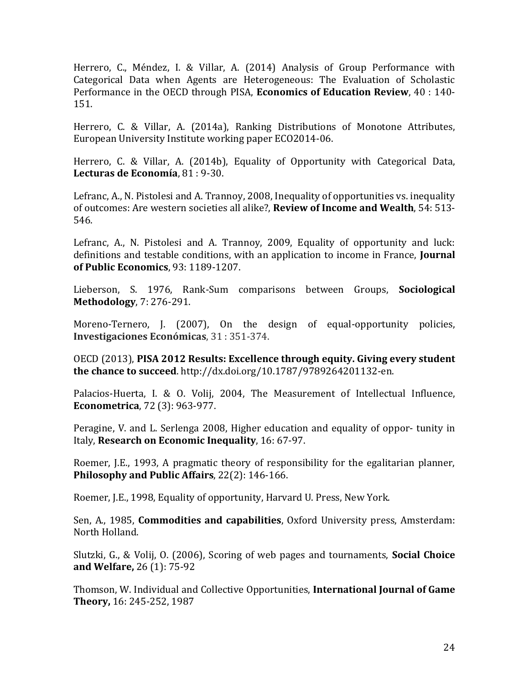Herrero, C., Méndez, I. & Villar, A. (2014) Analysis of Group Performance with Categorical Data when Agents are Heterogeneous: The Evaluation of Scholastic Performance in the OECD through PISA, **Economics of Education Review**, 40 : 140- 151.

Herrero, C. & Villar, A. (2014a), Ranking Distributions of Monotone Attributes, European University Institute working paper ECO2014-06.

Herrero, C. & Villar, A. (2014b), Equality of Opportunity with Categorical Data, **Lecturas de Economía**, 81 : 9-30.

Lefranc, A., N. Pistolesi and A. Trannoy, 2008, Inequality of opportunities vs. inequality of outcomes: Are western societies all alike?, **Review of Income and Wealth**, 54: 513- 546.

Lefranc, A., N. Pistolesi and A. Trannoy, 2009, Equality of opportunity and luck: definitions and testable conditions, with an application to income in France, **Journal of Public Economics**, 93: 1189-1207.

Lieberson, S. 1976, Rank-Sum comparisons between Groups, **Sociological Methodology**, 7: 276-291.

Moreno-Ternero, J. (2007), On the design of equal-opportunity policies, **Investigaciones Económicas**, 31 : 351-374.

OECD (2013), **PISA 2012 Results: Excellence through equity. Giving every student the chance to succeed**. http://dx.doi.org/10.1787/9789264201132-en.

Palacios-Huerta, I. & O. Volij, 2004, The Measurement of Intellectual Influence, **Econometrica**, 72 (3): 963-977.

Peragine, V. and L. Serlenga 2008, Higher education and equality of oppor- tunity in Italy, **Research on Economic Inequality**, 16: 67-97.

Roemer, J.E., 1993, A pragmatic theory of responsibility for the egalitarian planner, **Philosophy and Public Affairs**, 22(2): 146-166.

Roemer, J.E., 1998, Equality of opportunity, Harvard U. Press, New York.

Sen, A., 1985, **Commodities and capabilities**, Oxford University press, Amsterdam: North Holland.

Slutzki, G., & Volij, O. (2006), Scoring of web pages and tournaments, **Social Choice and Welfare,** 26 (1): 75-92

Thomson, W. Individual and Collective Opportunities, **International Journal of Game Theory,** 16: 245-252, 1987